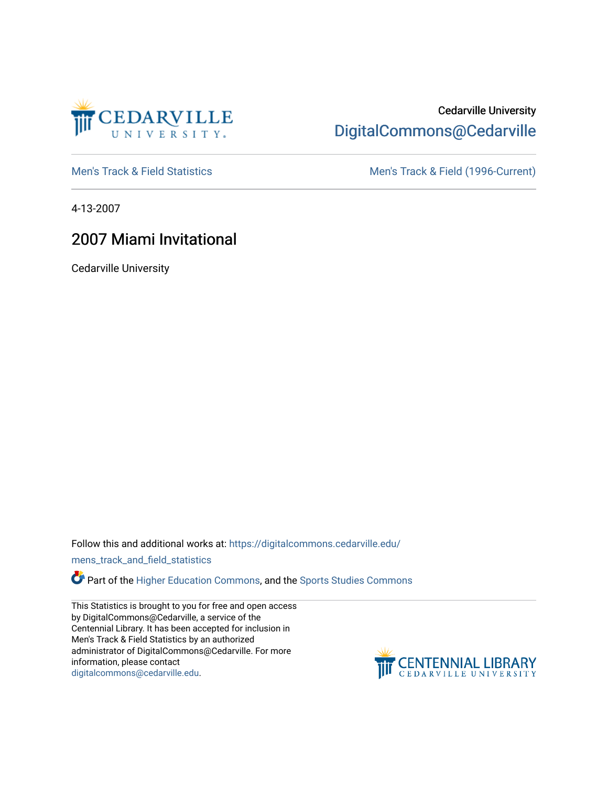

## Cedarville University [DigitalCommons@Cedarville](https://digitalcommons.cedarville.edu/)

[Men's Track & Field Statistics](https://digitalcommons.cedarville.edu/mens_track_and_field_statistics) [Men's Track & Field \(1996-Current\)](https://digitalcommons.cedarville.edu/mens_track_and_field) 

4-13-2007

## 2007 Miami Invitational

Cedarville University

Follow this and additional works at: [https://digitalcommons.cedarville.edu/](https://digitalcommons.cedarville.edu/mens_track_and_field_statistics?utm_source=digitalcommons.cedarville.edu%2Fmens_track_and_field_statistics%2F173&utm_medium=PDF&utm_campaign=PDFCoverPages)

[mens\\_track\\_and\\_field\\_statistics](https://digitalcommons.cedarville.edu/mens_track_and_field_statistics?utm_source=digitalcommons.cedarville.edu%2Fmens_track_and_field_statistics%2F173&utm_medium=PDF&utm_campaign=PDFCoverPages)

Part of the [Higher Education Commons,](http://network.bepress.com/hgg/discipline/1245?utm_source=digitalcommons.cedarville.edu%2Fmens_track_and_field_statistics%2F173&utm_medium=PDF&utm_campaign=PDFCoverPages) and the Sports Studies Commons

This Statistics is brought to you for free and open access by DigitalCommons@Cedarville, a service of the Centennial Library. It has been accepted for inclusion in Men's Track & Field Statistics by an authorized administrator of DigitalCommons@Cedarville. For more information, please contact [digitalcommons@cedarville.edu](mailto:digitalcommons@cedarville.edu).

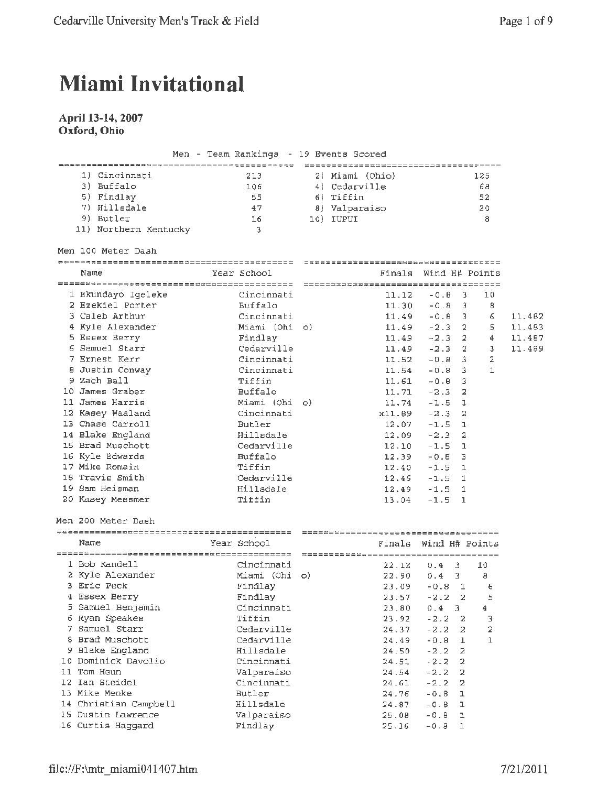## **Miami Invitational**

## **April 13-14, 2007 Oxford, Ohio**

|                       | Men - Team Rankings - 19 Events Scored |                                       |                               |     |        |
|-----------------------|----------------------------------------|---------------------------------------|-------------------------------|-----|--------|
|                       |                                        | ------------------------------------- |                               |     |        |
| 1) Cincinnati         | 213                                    | 2) Miami (Ohio)                       |                               | 125 |        |
| 3) Buffalo            | 106                                    | 4) Cedarville                         |                               | 68  |        |
| 5) Findlay            | 55                                     | 6) Tiffin                             |                               | 52  |        |
| 7) Hillsdale          | 47                                     | 8) Valparaiso                         |                               | 20  |        |
| 9) Butler             | 16                                     | 10) IUPUI                             |                               | 8   |        |
| 11) Northern Kentucky | -3                                     |                                       |                               |     |        |
| Men 100 Meter Dash    |                                        |                                       |                               |     |        |
|                       |                                        |                                       |                               |     |        |
| Name                  | Year School                            |                                       | Finals Wind H# Points         |     |        |
|                       |                                        |                                       |                               |     |        |
| 1 Ekundayo Igeleke    | Cincinnati                             | 11.12                                 | $-0.8$<br>$\overline{3}$      | 10  |        |
| 2 Ezekiel Porter      | Buffalo                                | 11.30                                 | $-0.8$ 3                      | 8   |        |
| 3 Caleb Arthur        | Cincinnati                             | 11.49                                 | $-0.8$ 3                      | б.  | 11.482 |
| 4 Kyle Alexander      | Miami (Ohi o)                          | 11.49                                 | $-2.3$ 2                      | 5   | 11.483 |
| 5 Essex Berry         | Findlay                                | 11.49                                 | $-2.3$ 2                      | 4   | 11.487 |
| 6 Samuel Starr        | Cedarville                             | 11.49                                 | $-2.3$ 2                      | 3   | 11.489 |
| 7 Ernest Kerr         | Cincinnati                             | 11.52                                 | $-0.8$ 3                      | 2   |        |
| 8 Justin Conway       | Cincinnati                             | 11.54                                 | $-0.8$ 3                      | 1   |        |
| 9 Zach Ball           | Tiffin                                 | 11.61                                 | $-0.8$ 3                      |     |        |
| 10 James Graber       | Buffalo                                | 11.71                                 | $\overline{2}$<br>$-2.3$      |     |        |
| 11 James Harris       | Miami (Ohi o)                          |                                       | $\mathbf{1}$<br>$11.74 - 1.5$ |     |        |
| 12 Kasey Waaland      | Cincinnati                             | x11.69                                | $-2.3$<br>2                   |     |        |
| 13 Chase Carroll      | Butler                                 |                                       | $12.07 - 1.5$<br>$\mathbf{I}$ |     |        |
| 14 Blake England      | Hillsdale                              | 12.09                                 | $-2.3$<br>2                   |     |        |
| 15 Brad Muschott      | Cedarville                             | 12.10                                 | $-1.5$<br>-1                  |     |        |
| 16 Kyle Edwards       | Buffalo                                | 12.39                                 | $-0.8$<br>3                   |     |        |
| 17 Mike Romain        | Tiffin                                 | 12.40                                 | $-1.5$<br>$\mathbf{1}$        |     |        |
| 18 Travis Smith       | Cedarville                             | 12.46                                 | $-1.5$<br>1                   |     |        |
| 19 Sam Heisman        | Hillsdale                              | 12.49                                 | $-1.5$<br>1                   |     |        |
| 20 Kasey Messmer      | Tiffin                                 | 13.04                                 | $-1.5$<br>1                   |     |        |
| Men 200 Meter Dash    |                                        |                                       |                               |     |        |
|                       |                                        |                                       |                               |     |        |
| Name                  | Year School                            | Finals                                | Wind H# Points                |     |        |
|                       |                                        |                                       |                               |     |        |
| 1 Bob Kandell         | Cincinnati                             | 22.12                                 | 0.4<br>3.                     | 10  |        |
| 2 Kyle Alexander      | Miami (Ohi o)                          | 22.90                                 | 3<br>0.4                      | 8   |        |
| 3 Eric Peck           | Findlay                                | 23.09                                 | $-0.8 \quad 1$                | 6   |        |
| 4 Essex Berry         | Findlay                                | 23.57                                 | $-2.2$<br>2                   | 5   |        |
| 5 Samuel Benjamin     | Cincinnati                             | 23.80                                 | 0.4<br>3                      | 4   |        |
| 6 Ryan Speakes        | Tiffin                                 | 23.92                                 | $-2.2$<br>$\overline{a}$      | з   |        |
| 7 Samuel Starr        | Cedarville                             | 24.37                                 | $-2.2$<br>2                   | 2   |        |
| 8 Brad Muschott       | Cedarville                             | 24.49                                 | $-0.8$<br>$\mathbf{1}$        | 1   |        |
| 9 Blake England       | Hillsdale                              | 24.50                                 | $-2.2$<br>2                   |     |        |
| 10 Dominick Davolio   | Cincinnati                             | 24.51                                 | $-2.2$<br>2                   |     |        |
| 11 Tom Heun           | Valparaiso                             | 24.54                                 | $-2.2$<br>2                   |     |        |
| 12 Ian Steidel        | Cincinnati                             | 24.61                                 | $-2.2$<br>2                   |     |        |
| 13 Mike Menke         | Butler                                 | 24.76                                 | $-0.8$<br>ı                   |     |        |
| 14 Christian Campbell | Hillsdale                              | 24.87                                 | $-0.8$<br>ı                   |     |        |
| 15 Dustin Lawrence    | Valparaiso                             | 25.08                                 | $-0.8$<br>ı                   |     |        |
| 16 Curtis Haggard     | Findlay                                | 25.16                                 | $-0.8$<br>$\mathbf 1$         |     |        |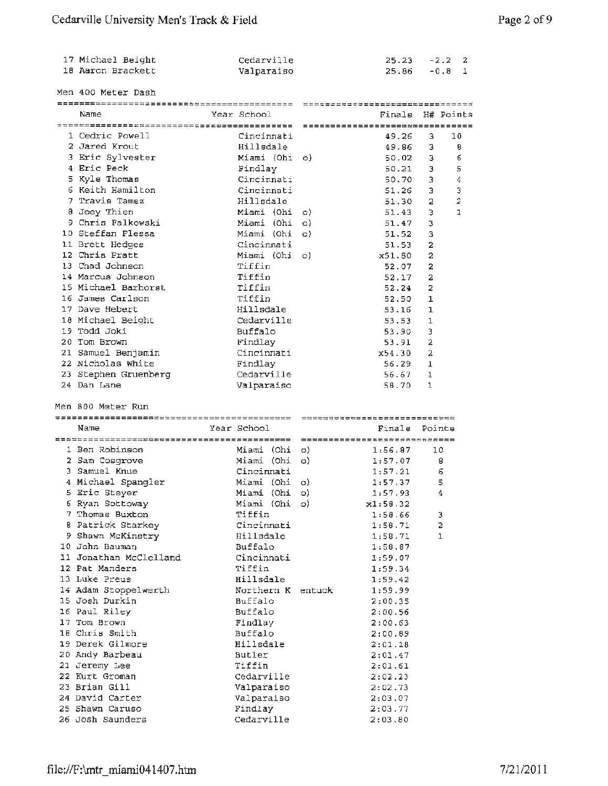| 17 Michael Beight | Cedarville | $25.23 - 2.2$ 2 |  |
|-------------------|------------|-----------------|--|
| 18 Aaron Brackett | Valparaiso | 25.86 -0.8 1    |  |

Men 400 Meter Dash Name Year School Finals H# Points ==-------------~----------==~============== 1 Cedric Powell Cincinnati 49.26 3 10 <sup>2</sup>Jared Krout Hillsdale 49.86 3 <sup>8</sup> 3 Eric Sylvester 50.02 3 6 Miami (Ohi o) 4 Eric Peck Findlay 50 .21 3 5 Cincinnati 5 Kyle Thomas 50.70 3 4 6 Keith Hamilton Cincinnati 51.26 3 3 7 Travis Tamez Hillsdale 51.30 2 <sup>2</sup> 8 Joey Thien o) 51. 43 3 1 Miami (Ohi <sup>9</sup>Chris Falkowski Miami (Ohi o) 51.47 <sup>3</sup> 10 Steffan Flessa 51.52 3 Miami {Ohi o) 11 Brett Hedges Cincinnati 51. 53 <sup>2</sup> 12 Chris Pratt Miami (Ohi x51. 80 2 o) Tiffin 13 Chad Johnson 52.07 2 Tiffin 14 Marcus Johnson 52.17 2 15 Michael Barhorst Tiffin 52.24 2 Tiffin 16 James Carlson 52.50 1 Hillsdale 17 Dave Hebert 53.16 1 Cedarville 18 Michael Beight 53.53 1 19 Todd Joki Buffalo 53.90 3 Findlay 20 Tom Brown 53.91 <sup>2</sup> Cincinnati 21 Samuel Benjamin X54.30 *2*  22 Nicholas White Findlay 56.29 l 23 Stephen Gruenberg Cedarville 56.67 1 Valparaiso 58.70 1 24 Dan Lane Men 800 Meter Run Name Year School Finals Points ==~~==========~~~~========================= l Ben Robinson 1:56.87 10 Miami (Ohi o) 2 Sam Cosgrove  $1:57.07$  8 Miami ( Ohi o) Cincinnati 1:57.21 6 3 Samuel Knue 4 Michael Spangler 1:57.37 <sup>5</sup> Miami ( Obi o) <sup>5</sup>Eric Steyer 1:57.93 4 Miami (Ohi o) 6 Ryan Sottoway xl:58.32 Miami (Ohi o) Tiffin 1:58.66 <sup>3</sup> <sup>7</sup>Thomas Buxton 8 Patrick Starkey Cincinnati 1:58.71 2 Hillsdale 9 Shawn McKinstry  $1:58.71$  1 10 John Bauman Buffalo 1:58.87 11 Jonathan McClelland Cincinnati 1:59.07 Tiffin 12 Pat Manders 1:59.34 13 Luke Preus Hillsdale 1:59.42 14 Adam Stoppelwerth Northern K entuck 1:59.99 15 Josh Durkin Buffalo 2:00.35 16 Paul Riley Buffalo 2:00.56 17 Tom Brown Findlay 2:00.63 Buffalo 18 Chris Smith 2:00.89 Hillsdale 2:01.18 19 Derek Gilmore Butler 20 Andy Barbeau 2:01.47 Tiffin 21 Jeremy Lee 2:01.61 22 Kurt Groman Cedarville 2:02.23 23 Brian Gill Valparaiso 2:02.73 24 David Carter Valparaiso 2:03.07 Findlay 2:03.77 25 Shawn Caruso 26 Josh Saunders Cedarville 2:03.80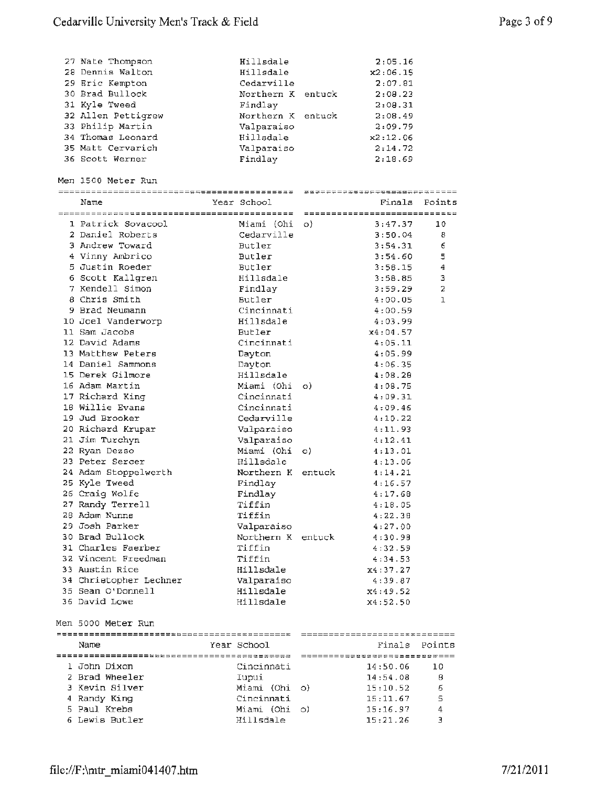| 27 Nate Thompson<br>28 Dennis Walton<br>29 Eric Kempton<br>30 Brad Bullock<br>31 Kyle Tweed<br>32 Allen Pettigrew<br>33 Philip Martin<br>34 Thomas Leonard<br>35 Matt Cervarich<br>36 Scott Werner | Hillsdale<br>Hillsdale<br>Cedarville<br>Northern K entuck<br>Findlay<br>Northern K entuck<br>Valparaiso<br>Hillsdale<br>Valparaiso<br>Findlay |         | 2:05.16<br>x2:06.15<br>2:07.81<br>2:08.23<br>2:00.31<br>2:08.49<br>2:09.79<br>x2:12.06<br>2:14.72<br>2:18.69 |                              |
|----------------------------------------------------------------------------------------------------------------------------------------------------------------------------------------------------|-----------------------------------------------------------------------------------------------------------------------------------------------|---------|--------------------------------------------------------------------------------------------------------------|------------------------------|
| Men 1500 Meter Run                                                                                                                                                                                 |                                                                                                                                               |         | ------------------------------                                                                               |                              |
| Name                                                                                                                                                                                               | Year School                                                                                                                                   |         |                                                                                                              | Finals Points                |
|                                                                                                                                                                                                    |                                                                                                                                               |         |                                                                                                              |                              |
| 1 Patrick Sovacool                                                                                                                                                                                 | Miami (Ohi                                                                                                                                    | $\circ$ | 3:47.37                                                                                                      | 10                           |
| 2 Daniel Roberts                                                                                                                                                                                   | Cedarville                                                                                                                                    |         | 3:50.04                                                                                                      | 8                            |
| 3 Andrew Toward                                                                                                                                                                                    | <b>Butler</b><br><b>Butler</b>                                                                                                                |         | 3:54.31                                                                                                      | 6                            |
| 4 Vinny Ambrico<br>5 Justin Roeder                                                                                                                                                                 | <b>Butler</b>                                                                                                                                 |         | 3:54.60                                                                                                      | 5<br>$\overline{\mathbf{4}}$ |
| 6 Scott Kallgren                                                                                                                                                                                   | Hillsdale                                                                                                                                     |         | 3:58.15<br>3:58.85                                                                                           | 3                            |
| 7 Kendell Simon                                                                                                                                                                                    | Findlay                                                                                                                                       |         | 3:59.29                                                                                                      | 2                            |
| 8 Chris Smith                                                                                                                                                                                      | Butler                                                                                                                                        |         | 4:00.05                                                                                                      | I.                           |
| 9 Brad Neumann                                                                                                                                                                                     | Cincinnati                                                                                                                                    |         | 4:00.59                                                                                                      |                              |
| 10 Joel Vanderworp                                                                                                                                                                                 | Hillsdale                                                                                                                                     |         | 4:03.99                                                                                                      |                              |
| 11 Sam Jacobs                                                                                                                                                                                      | Butler                                                                                                                                        |         | x4:04.57                                                                                                     |                              |
| 12 David Adams                                                                                                                                                                                     | Cincinnati                                                                                                                                    |         | 4:05.11                                                                                                      |                              |
| 13 Matthew Peters                                                                                                                                                                                  | Dayton                                                                                                                                        |         | 4:05.99                                                                                                      |                              |
| 14 Daniel Sammons                                                                                                                                                                                  | Dayton                                                                                                                                        |         | 4:06.35                                                                                                      |                              |
| 15 Derek Gilmore                                                                                                                                                                                   | Hillsdale                                                                                                                                     |         | 4:08.28                                                                                                      |                              |
| 16 Adam Martin                                                                                                                                                                                     | Miami (Ohi                                                                                                                                    | O)      | 4:08.75                                                                                                      |                              |
| 17 Richard King                                                                                                                                                                                    | Cincinnati                                                                                                                                    |         | 4:09.31                                                                                                      |                              |
| 18 Willie Evans                                                                                                                                                                                    | Cincinnati                                                                                                                                    |         | 4:09.46                                                                                                      |                              |
| 19 Jud Brooker                                                                                                                                                                                     | Cedarville                                                                                                                                    |         | 4:10.22                                                                                                      |                              |
| 20 Richard Krupar                                                                                                                                                                                  | Valparaiso                                                                                                                                    |         | 4:11.93                                                                                                      |                              |
| 21 Jim Turchyn                                                                                                                                                                                     | Valparaiso                                                                                                                                    |         | 4:12.41                                                                                                      |                              |
| 22 Ryan Dezso                                                                                                                                                                                      | Miami (Ohi                                                                                                                                    | $\circ$ | 4:13.01                                                                                                      |                              |
| 23 Peter Sercer                                                                                                                                                                                    | Hillsdale                                                                                                                                     |         | 4:13.06                                                                                                      |                              |
| 24 Adam Stoppelwerth                                                                                                                                                                               | Northern K entuck                                                                                                                             |         | 4:14.21                                                                                                      |                              |
| 25 Kyle Tweed                                                                                                                                                                                      | Findlay                                                                                                                                       |         | 4:16.57                                                                                                      |                              |
| 26 Craig Wolfe                                                                                                                                                                                     | Findlay                                                                                                                                       |         | 4:17.68                                                                                                      |                              |
| 27 Randy Terrell                                                                                                                                                                                   | Tiffin                                                                                                                                        |         | 4:18.05                                                                                                      |                              |
| 28 Adam Nunns                                                                                                                                                                                      | Tiffin                                                                                                                                        |         | 4:22.36                                                                                                      |                              |
| 29 Josh Parker                                                                                                                                                                                     | Valparaiso                                                                                                                                    |         | 4:27.00                                                                                                      |                              |
| 30 Brad Bullock                                                                                                                                                                                    | Northern K entuck                                                                                                                             |         | 4:30.98                                                                                                      |                              |
| 31 Charles Faerber                                                                                                                                                                                 | Tiffin                                                                                                                                        |         | 4:32.59                                                                                                      |                              |
| 32 Vincent Freedman                                                                                                                                                                                | Tiffin                                                                                                                                        |         | 4:34.53                                                                                                      |                              |
| 33 Austin Rice                                                                                                                                                                                     | Hillsdale                                                                                                                                     |         | x4:37.27                                                                                                     |                              |
| 34 Christopher Lechner                                                                                                                                                                             | Valparaiso                                                                                                                                    |         | 4:39.87                                                                                                      |                              |
| 35 Sean O'Donnell                                                                                                                                                                                  | Hillsdale                                                                                                                                     |         | x4:49.52                                                                                                     |                              |
| 36 David Lowe                                                                                                                                                                                      | Hillsdale                                                                                                                                     |         | x4:52.50                                                                                                     |                              |
| Men 5000 Meter Run                                                                                                                                                                                 |                                                                                                                                               |         |                                                                                                              |                              |
| Name                                                                                                                                                                                               | Year School                                                                                                                                   |         | ==============================<br>Finals                                                                     | Points                       |
|                                                                                                                                                                                                    |                                                                                                                                               |         | ==============================                                                                               |                              |
| 1 John Dixon                                                                                                                                                                                       | Cincinnati                                                                                                                                    |         | 14:50.06                                                                                                     | 10                           |
| 2 Brad Wheeler                                                                                                                                                                                     | Iupui                                                                                                                                         |         | 14:54.08                                                                                                     | 8                            |
| 3 Kevin Silver                                                                                                                                                                                     | Miami (Ohi                                                                                                                                    | O)      | 15:10.52                                                                                                     | 6                            |
| 4 Randy King                                                                                                                                                                                       | Cincinnati                                                                                                                                    |         | 15:11.67                                                                                                     | 5                            |
| 5 Paul Krebs                                                                                                                                                                                       | Miami (Ohi                                                                                                                                    | O)      | 15:16.97                                                                                                     | 4                            |
| 6 Lewis Butler                                                                                                                                                                                     | Hillsdale                                                                                                                                     |         | 15:21.26                                                                                                     | э                            |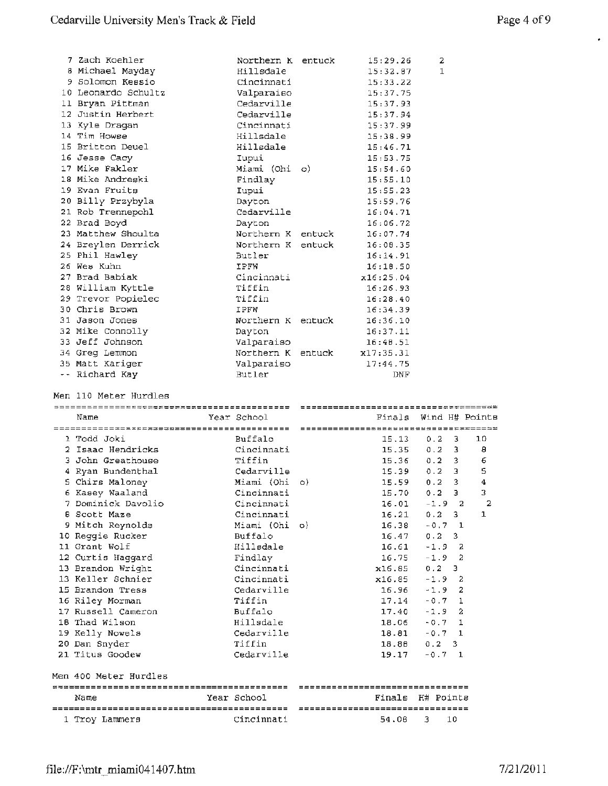| 7 Zach Koehler      | Northern K entuck | 15:29.26  | $\overline{\mathbf{2}}$ |
|---------------------|-------------------|-----------|-------------------------|
| 8 Michael Mayday    | Hillsdale         | 15:32.87  | $\mathbf{1}$            |
| 9 Solomon Kessio    | Cincinnati        | 15:33.22  |                         |
| 10 Leonardo Schultz | Valparaiso        | 15:37.75  |                         |
| 11 Bryan Pittman    | Cedarville        | 15:37.93  |                         |
| 12 Justin Herbert   | Cedarville        | 15:37.94  |                         |
| 13 Kyle Dragan      | Cincinnati        | 15:37.99  |                         |
| 14 Tim Howse        | Hillsdale         | 15:38.99  |                         |
| 15 Britton Deuel    | Hillsdale         | 15:46.71  |                         |
| 16 Jesse Cacy       | Iupui             | 15:53.75  |                         |
| 17 Mike Fakler      | Miami (Ohi o)     | 15:54.60  |                         |
| 18 Mike Andreski    | Findlay           | 15:55.10  |                         |
| 19 Evan Fruits      | Iupui             | 15:55.23  |                         |
| 20 Billy Przybyla   | Dayton            | 15:59.76  |                         |
| 21 Rob Trennepohl   | Cedarville        | 16:04.71  |                         |
| 22 Brad Boyd        | Dayton            | 16:06.72  |                         |
| 23 Matthew Shoulta  | Northern K entuck | 16:07.74  |                         |
| 24 Breylen Derrick  | Northern K entuck | 16:08.35  |                         |
| 25 Phil Hawley      | Butler            | 16:14.91  |                         |
| 26 Wes Kuhn         | IPFW              | 16:18.50  |                         |
| 27 Brad Babiak      | Cincinnati        | x16:25.04 |                         |
| 28 William Kyttle   | Tiffin            | 16:26.93  |                         |
| 29 Trevor Popielec  | Tiffin            | 16:28.40  |                         |
| 30 Chris Brown      | IPFW              | 16:34.39  |                         |
| 31 Jason Jones      | Northern K entuck | 16:36.10  |                         |
| 32 Mike Connolly    | Dayton            | 16:37.11  |                         |
| 33 Jeff Johnson     | Valparaiso        | 16:48.51  |                         |
| 34 Greg Lemmon      | Northern K entuck | x17:35.31 |                         |
| 35 Matt Kariger     | Valparaiso        | 17:44.75  |                         |
| -- Richard Kay      | Butler            | DNF       |                         |

Men 110 Meter Hurdles

|                                                         | =========================== | ----------------------------------         |                            |
|---------------------------------------------------------|-----------------------------|--------------------------------------------|----------------------------|
| Name                                                    | Year School                 | Finals                                     | Wind H# Points             |
|                                                         |                             |                                            |                            |
| 1 Todd Joki                                             | Buffalo                     | 15.13                                      | 10<br>0.2<br>3             |
| 2 Isaac Hendricks                                       | Cincinnati                  | 15.35                                      | 8<br>3<br>0.2              |
| 3 John Greathouse                                       | Tiffin                      |                                            | 6<br>15.36 0.2<br>3.       |
| 4 Ryan Bundenthal                                       | Cedarville                  | 15.39                                      | 5<br>3<br>0.2              |
| 5 Chirs Maloney                                         | Miami (Ohi o)               | 15.59                                      | 3<br>0.2<br>4              |
| 6 Kasey Waaland                                         | Cincinnati                  | 15.70                                      | 3.<br>3<br>0.2             |
| 7 Dominick Davolio                                      | Cincinnati                  | 16.01                                      | $\overline{2}$<br>$-1.9$ 2 |
| <b>B</b> Scott Maze                                     | Cincinnati                  | 16.21                                      | 0.2<br>3.<br>1             |
| 9 Mitch Reynolds                                        | Miami (Ohi o)               | 16.38                                      | $-0.7$<br>$\overline{1}$   |
| 10 Reggie Rucker                                        | Buffalo                     | 16.47                                      | 0.2<br>3.                  |
| 11 Grant Wolf                                           | Hillsdale                   | 16.61                                      | $-1.9$<br>-2               |
| 12 Curtis Haggard                                       | Findlay                     | 16.75                                      | $\overline{2}$<br>$-1.9$   |
| 13 Brandon Wright                                       | Cincinnati                  | x16.85                                     | $0.2 - 3$                  |
| 13 Keller Schnier                                       | Cincinnati                  | x16.85                                     | $-1.9$<br>-2               |
| 15 Brandon Tress                                        | Cedarville                  | 16.96                                      | $\overline{a}$<br>$-1.9$   |
| 16 Riley Morman                                         | Tiffin                      | 17.14                                      | $-0.7$<br>$\mathbf{1}$     |
| 17 Russell Cameron                                      | Buffalo                     | 17.40                                      | $\overline{a}$<br>$-1.9$   |
| 18 Thad Wilson                                          | Hillsdale                   | 18.06                                      | $-0.7$<br>$\mathbf{1}$     |
| 19 Kelly Nowels                                         | Cedarville                  | 18.81                                      | $-0.7$ 1                   |
| 20 Dan Snyder                                           | Tiffin                      | 18.88                                      | $0.2 \quad 3$              |
| 21 Titus Goodew                                         | Cedarville                  | 19.17                                      | $-0.7$<br>$\mathbf{1}$     |
| Men 400 Meter Hurdles                                   |                             |                                            |                            |
|                                                         |                             | --------------------------------           |                            |
| Name                                                    | Year School                 | Finals                                     | H# Points                  |
| -------------------------------------<br>1 Troy Lammers | Cincinnati                  | =================================<br>54.08 | 3<br>10                    |
|                                                         |                             |                                            |                            |

 $\bullet$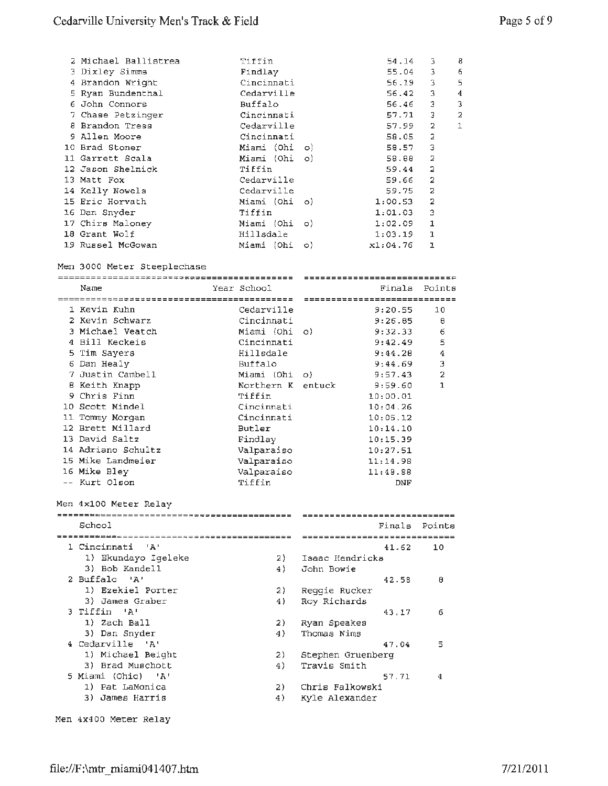| 2 Michael Ballistrea | Tiffin                | 54.14    | 3              | 8 |
|----------------------|-----------------------|----------|----------------|---|
| 3 Dixley Simms       | Findlay               | 55.04    | 3              | 6 |
| 4 Brandon Wright     | Cincinnati            | 56.19    | 3              | 5 |
| 5 Ryan Bundenthal    | Cedarville            | 56.42    | 3              | 4 |
| 6 John Connors       | Buffalo               | 56.46    | Э              | 3 |
| 7 Chase Petzinger    | Cincinnati            | 57.71    | 3              | 2 |
| 8 Brandon Tress      | Cedarville            | 57.99    | 2              | 1 |
| 9 Allen Moore        | Cincinnati            | 58.05    | 2              |   |
| 10 Brad Stoner       | Miami (Ohi o)         | 58.57    | 3              |   |
| 11 Garrett Scala     | Miami (Ohi o)         | 58.88    | 2              |   |
| 12 Jason Shelnick    | Tiffin                | 59.44    | 2              |   |
| 13 Matt Fox          | Cedarville            | 59.66    | 2              |   |
| 14 Kelly Nowels      | Cedarville            | 59.75    | 2              |   |
| 15 Eric Horvath      | Miami (Ohi o)         | 1:00.53  | $\overline{2}$ |   |
| 16 Dan Snyder        | Tiffin                | 1:01.03  | Э              |   |
| 17 Chirs Maloney     | Miami (Ohi o)         | 1:02.09  | $\mathbf{1}$   |   |
| 18 Grant Wolf        | Hillsdale             | 1:03.19  | ı              |   |
| 19 Russel McGowan    | Miami (Ohi<br>$\circ$ | x1:04.76 | $\mathbf{1}$   |   |

Men 3000 Meter Steeplechase

|                       |                   | ============================   |                |
|-----------------------|-------------------|--------------------------------|----------------|
| Name                  | Year School       | Finals                         | Points         |
|                       |                   | -----------------------------  |                |
| 1 Kevin Kuhn          | Cedarville        | 9:20.55                        | 10             |
| 2 Kevin Schwarz       | Cincinnati        | 9:26.85                        | 8              |
| 3 Michael Veatch      | Miami (Ohi        | o)<br>9:32.33                  | 6              |
| 4 Bill Keckeis        | Cincinnati        | 9:42.49                        | 5              |
| 5 Tim Sayers          | Hillsdale         | 9:44.20                        | $\overline{4}$ |
| 6 Dan Healy           | Buffalo           | 9:44.69                        | 3              |
| 7 Justin Cambell      | Miami (Ohi        | 9:57.43<br>$\circ$             | $\overline{2}$ |
| 8 Keith Knapp         | Northern K entuck | 9:59.60                        | $\mathbf{1}$   |
| 9 Chris Finn          | Tiffin            | 10:00.01                       |                |
| 10 Scott Mindel       | Cincinnati        | 10:04.26                       |                |
| 11 Tommy Morgan       | Cincinnati        | 10:05.12                       |                |
| 12 Brett Millard      | <b>Butler</b>     | 10:14.10                       |                |
| 13 David Saltz        | Findlay           | 10:15.39                       |                |
| 14 Adriano Schultz    | Valparaiso        | 10:27.51                       |                |
| 15 Mike Landmeier     | Valparaiso        | 11:14.98                       |                |
| 16 Mike Bley          | Valparaiso        | 11:48.88                       |                |
| -- Kurt Olson         | Tiffin            | <b>DNF</b>                     |                |
|                       |                   |                                |                |
| Men 4x100 Meter Relay |                   | ----------------------------   |                |
| School                |                   | Finals                         |                |
|                       |                   |                                | Points         |
|                       |                   | ______________________________ |                |
| 1 Cincinnati<br>– 'A' |                   | 41.62                          | 10             |
| 1) Ekundayo Igeleke   | 2)                | Isaac Hendricks                |                |
| 3) Bob Kandell        | 4)                | John Bowie                     |                |
| 2 Buffalo 'A'         |                   | 42.58                          | 8              |
| 1) Ezekiel Porter     | 2)                | Reqgie Rucker                  |                |
| 3) James Graber       | 4)                | Roy Richards                   |                |
| 3 Tiffin<br>ாதா       |                   | 43.17                          | 6              |
| 1) Zach Ball          | 2)                | Ryan Speakes                   |                |
| 3) Dan Snyder         | 4)                | Thomas Nims                    |                |

4 Cedarville 'A' 1) Michael Beight 3) Brad Muschott 5 Miami (Ohio) 'A'

4) Travis Smith 2) Chris Falkowski 57.71 4

47.04 5

2) Stephen Gruenberg

4) Kyle Alexander

1) Pat LaMonica 3) James Harris

Men 4x400 Meter Relay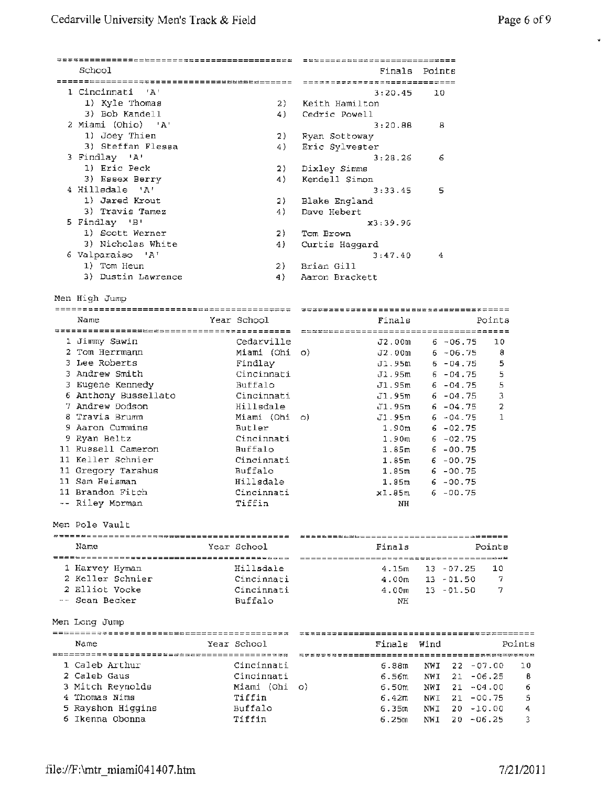| School             |             | Finals         | Points |  |
|--------------------|-------------|----------------|--------|--|
|                    |             |                |        |  |
| 1 Cincinnati 'A'   |             | 3:20.45        | 10     |  |
| 1) Kyle Thomas     | 2)          | Keith Hamilton |        |  |
| 3) Bob Kandell     | 4)          | Cedric Powell  |        |  |
| 2 Miami (Ohio) 'A' |             | 3:20.88        | 8      |  |
| 1) Joey Thien      | 2)          | Ryan Sottoway  |        |  |
| 3) Steffan Flessa  | 4)          | Eric Sylvester |        |  |
| 3 Findlay 'A'      |             | 3:28.26        | 6      |  |
| 1) Eric Peck       | 2)          | Dixley Simms   |        |  |
| 3) Essex Berry     | 4)          | Kendell Simon  |        |  |
| 4 Hillsdale 'A'    |             | 3:33.45        | 5      |  |
| 1) Jared Krout     | 2)          | Blake England  |        |  |
| 3) Travis Tamez    | 4)          | Dave Hebert    |        |  |
| 5 Findlay 'B'      |             | x3:39.96       |        |  |
| 1) Scott Werner    | 2)          | Tom Brown      |        |  |
| 3) Nicholas White  | 4)          | Curtis Haggard |        |  |
| 6 Valparaiso 'A'   |             | 3:47.40        | 4      |  |
| 1) Tom Heun        | 2)          | Brian Gill     |        |  |
| 3) Dustin Lawrence | 4)          | Aaron Brackett |        |  |
| Men High Jump      |             |                |        |  |
|                    |             |                |        |  |
| Name               | Year School | Finals         |        |  |

| Name                 | Year School   | Finals            | Points            |
|----------------------|---------------|-------------------|-------------------|
|                      |               |                   |                   |
| 1 Jimmy Sawin        | Cedarville    | J2.00m            | $6 - 06.75$<br>10 |
| 2 Tom Herrmann       | Miami (Ohi o) | J2.00m            | $6 - 06.75$<br>8  |
| 3 Lee Roberts        | Findlay       | J1.95m            | 5<br>$6 - 04.75$  |
| 3 Andrew Smith       | Cincinnati    | $\texttt{J1.95m}$ | 5<br>$6 - 04.75$  |
| 3 Eugene Kennedy     | Buffalo       | J1.95m            | 5<br>$6 - 04.75$  |
| 6 Anthony Bussellato | Cincinnati    | Jl.95m            | 3<br>$6 - 04.75$  |
| 7 Andrew Dodson      | Hillsdale     | J1.95m            | $6 - 04.75$<br>2  |
| 8 Travis Brumm       | Miami (Ohi o) | J1.95m            | $6 - 04.75$       |
| 9 Aaron Cummins      | Butler        | 1.90m             | $6 - 02.75$       |
| 9 Ryan Beltz         | Cincinnati    | 1.90m             | $6 - 02.75$       |
| 11 Russell Cameron   | Buffalo       | 1.85m             | $6 - 00.75$       |
| 11 Keller Schnier    | Cincinnati    | 1.85 <sub>m</sub> | $6 - 00.75$       |
| 11 Gregory Tarshus   | Buffalo       | 1.85m             | $6 - 00.75$       |
| 11 Sam Heisman       | Hillsdale     | 1.85m             | $6 - 00.75$       |
| 11 Brandon Fitch     | Cincinnati    | xl.05m            | $6 - 00.75$       |
| -- Riley Morman      | Tiffin        | NH                |                   |

Men Pole Vault

| Name             | Year School | Finals | Points                     |  |  |
|------------------|-------------|--------|----------------------------|--|--|
|                  |             |        |                            |  |  |
| 1 Harvey Hyman   | Hillsdale   |        | $4.15m$ $13 - 07.25$<br>10 |  |  |
| 2 Keller Schnier | Cincinnati  | 4.00m  | 13 - 01.50                 |  |  |
| 2 Elliot Vocke   | Cincinnati  | 4.00m  | - 13 - 01.50               |  |  |
| -- Sean Becker   | Buffalo     | NH     |                            |  |  |

Men Long Jump

| Name              | Year School   | Finals            | Wind |               | Points |
|-------------------|---------------|-------------------|------|---------------|--------|
|                   |               |                   |      |               |        |
| 1 Caleb Arthur    | Cincinnati    | 6.88m             |      | NWI 22 -07.00 | -10    |
| 2 Caleb Gaus      | Cincinnati    | 6.56m             | NWI  | $21 - 06.25$  | В      |
| 3 Mitch Reynolds  | Miami (Ohi o) | 6.50m             | NWI  | $21 - 04.00$  | 6      |
| 4 Thomas Nims     | Tiffin        | 6.42 <sub>m</sub> | NWI  | 21 -00.75     | 5      |
| 5 Rayshon Hiqqins | Buffalo       | 6.35m             | NWI  | 20 -10.00     | 4      |
| 6 Ikenna Obonna   | Tiffin        | 6.25m             | NWI  | $20 - 06.25$  |        |

 $\mathbf{w}$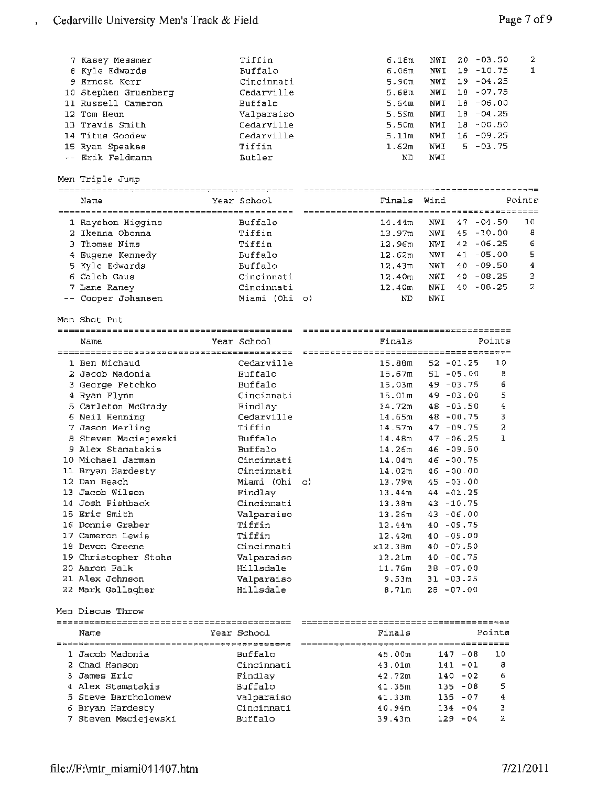$\mathbf{s}$ 

| Men Triple Jump<br>Wind<br>Finals<br>Points<br>Year School<br>Name<br><b>Buffalo</b><br>10<br>14.44m<br>NWI<br>$47 - 04.50$<br>1 Rayshon Higgins<br>8<br>2 Ikenna Obonna<br>Tiffin<br>$45 - 10.00$<br>13.97m<br>NWI<br>3 Thomas Nims<br>$42 - 06.25$<br>6<br>Tiffin<br>12.96m<br>NWI<br>5<br>Buffalo<br>$41 - 05.00$<br>12.62m<br>NWI<br>4 Eugene Kennedy<br>4<br>Buffalo<br>$40 - 09.50$<br>5 Kyle Edwards<br>$12,43\overline{m}$<br>NWI<br>3<br>$40 - 08.25$<br>6 Caleb Gaus<br>Cincinnati<br>12.40 <sub>m</sub><br>NWI<br>$\mathbf{z}$<br>NWI<br>$40 - 08.25$<br>Cincinnati<br>12.40m<br>7 Lane Raney<br>-- Cooper Johansen<br>Miami (Ohi o)<br>ND.<br>NWI<br>Men Shot Put<br>Points<br>Year School<br>Finals<br>Name<br>10<br>1 Ben Michaud<br>Cedarville<br>15.88m<br>$52 - 01.25$<br>2 Jacob Madonia<br>Buffalo<br>15.67m<br>$51 - 05.00$<br>В<br>6<br><b>Buffalo</b><br>$49 - 03.75$<br>3 George Fetchko<br>15.03m<br>5<br>4 Ryan Flynn<br>Cincinnati<br>$49 - 03.00$<br>15.01 <sub>m</sub><br>4<br>5 Carleton McGrady<br>$48 - 03.50$<br>Findlay<br>14.72m<br>3<br>6 Neil Henning<br>Cedarville<br>$48 - 00.75$<br>14.65m<br>Tiffin<br>2<br>7 Jason Werling<br>14.57m<br>47 - 09.75<br>1<br>8 Steven Maciejewski<br>Buffalo<br>14.48m<br>$47 - 06.25$<br>9 Alex Stamatakis<br>Buffalo<br>$46 - 09.50$<br>14.26m<br>10 Michael Jarman<br>Cincinnati<br>$46 - 00.75$<br>14.04m<br>Cincinnati<br>11 Bryan Hardesty<br>14.02m<br>46 -00.00<br>12 Dan Beach<br>13.79m<br>Miami (Ohi<br>$45 - 03.00$<br>O)<br>13 Jacob Wilson<br>Findlay<br>44 - 01.25<br>13.44m<br>14 Josh Fishback<br>Cincinnati<br>13.38m<br>$43 - 10.75$<br>15 Eric Smith<br>Valparaiso<br>13.26m<br>$43 - 06.00$<br>16 Donnie Graber<br>Tiffin<br>12.44m<br>$40 - 09.75$<br>17 Cameron Lewis<br>Tiffin<br>$12.42$ m<br>$40 - 09.00$<br>Cincinnati<br>18 Devon Greene<br>x12.38m<br>$40 - 07.50$<br>19 Christopher Stohs<br>Valparaiso<br>$40 - 00.75$<br>12.21m<br>20 Aaron Falk<br>Hillsdale<br>11.76m<br>$38 - 07.00$<br>21 Alex Johnson<br>Valparaiso<br>$31 - 03.25$<br>9.53m<br>$28 - 07.00$<br>22 Mark Gallagher<br>Hillsdale<br>8.71 <sub>m</sub><br>Men Discus Throw<br>Finals<br>Points<br>Year School<br>Name<br>1 Jacob Madonia<br>Buffalo<br>45.00m<br>$147 - 08$<br>10<br>2 Chad Hanson<br>Cincinnati<br>$141 - 01$<br>8<br>43.01m<br>3 James Eric<br>$140 - 02$<br>6<br>Findlay<br>42.72m<br>5<br>4 Alex Stamatakis<br>Buffalo<br>$135 - 08$<br>41.35m<br>5 Steve Bartholomew<br>Valparaiso<br>$135 - 07$<br>4<br>41.33m<br>6 Bryan Hardesty<br>Cincinnati<br>$134 - 04$<br>з<br>40.94m<br>2<br>7 Steven Maciejewski<br>Buffalo<br>39.43m<br>$129 - 04$ | 7 Kasey Messmer<br><b>8 Kyle Edwards</b><br>9 Ernest Kerr<br>10 Stephen Gruenberg<br>11 Russell Cameron<br>12 Tom Heun<br>13 Travis Smith<br>14 Titus Goodew<br>15 Ryan Speakes<br>-- Erik Feldmann | Tiffin<br>Buffalo<br>Cincinnati<br>Cedarville<br>Buffalo<br>Valparaiso<br>Cedarville<br>Cedarville<br>Tiffin<br>Butler | 6.18m<br>6.06m<br>5.90m<br>5.68m<br>5.64m<br>5.59m<br>5.50m<br>5.11m<br>1.62m<br>ND | NWI<br>NWI<br>NWI<br>NWI<br>NWI<br>NWI<br>NWI<br>NWI<br>NWI<br>NWI | 2<br>20 -03.50<br>ı<br>$19 - 10.75$<br>$19 - 04.25$<br>$18 - 07.75$<br>18 -06.00<br>$18 - 04.25$<br>$18 - 00.50$<br>$16 - 09.25$<br>$5 - 03.75$ |
|----------------------------------------------------------------------------------------------------------------------------------------------------------------------------------------------------------------------------------------------------------------------------------------------------------------------------------------------------------------------------------------------------------------------------------------------------------------------------------------------------------------------------------------------------------------------------------------------------------------------------------------------------------------------------------------------------------------------------------------------------------------------------------------------------------------------------------------------------------------------------------------------------------------------------------------------------------------------------------------------------------------------------------------------------------------------------------------------------------------------------------------------------------------------------------------------------------------------------------------------------------------------------------------------------------------------------------------------------------------------------------------------------------------------------------------------------------------------------------------------------------------------------------------------------------------------------------------------------------------------------------------------------------------------------------------------------------------------------------------------------------------------------------------------------------------------------------------------------------------------------------------------------------------------------------------------------------------------------------------------------------------------------------------------------------------------------------------------------------------------------------------------------------------------------------------------------------------------------------------------------------------------------------------------------------------------------------------------------------------------------------------------------------------------------------------------------------------------------------------------------------------------------------------------------------------------------------------------------------------------------------------------|-----------------------------------------------------------------------------------------------------------------------------------------------------------------------------------------------------|------------------------------------------------------------------------------------------------------------------------|-------------------------------------------------------------------------------------|--------------------------------------------------------------------|-------------------------------------------------------------------------------------------------------------------------------------------------|
|                                                                                                                                                                                                                                                                                                                                                                                                                                                                                                                                                                                                                                                                                                                                                                                                                                                                                                                                                                                                                                                                                                                                                                                                                                                                                                                                                                                                                                                                                                                                                                                                                                                                                                                                                                                                                                                                                                                                                                                                                                                                                                                                                                                                                                                                                                                                                                                                                                                                                                                                                                                                                                              |                                                                                                                                                                                                     |                                                                                                                        |                                                                                     |                                                                    |                                                                                                                                                 |
|                                                                                                                                                                                                                                                                                                                                                                                                                                                                                                                                                                                                                                                                                                                                                                                                                                                                                                                                                                                                                                                                                                                                                                                                                                                                                                                                                                                                                                                                                                                                                                                                                                                                                                                                                                                                                                                                                                                                                                                                                                                                                                                                                                                                                                                                                                                                                                                                                                                                                                                                                                                                                                              |                                                                                                                                                                                                     |                                                                                                                        |                                                                                     |                                                                    |                                                                                                                                                 |
|                                                                                                                                                                                                                                                                                                                                                                                                                                                                                                                                                                                                                                                                                                                                                                                                                                                                                                                                                                                                                                                                                                                                                                                                                                                                                                                                                                                                                                                                                                                                                                                                                                                                                                                                                                                                                                                                                                                                                                                                                                                                                                                                                                                                                                                                                                                                                                                                                                                                                                                                                                                                                                              |                                                                                                                                                                                                     |                                                                                                                        |                                                                                     |                                                                    |                                                                                                                                                 |
|                                                                                                                                                                                                                                                                                                                                                                                                                                                                                                                                                                                                                                                                                                                                                                                                                                                                                                                                                                                                                                                                                                                                                                                                                                                                                                                                                                                                                                                                                                                                                                                                                                                                                                                                                                                                                                                                                                                                                                                                                                                                                                                                                                                                                                                                                                                                                                                                                                                                                                                                                                                                                                              |                                                                                                                                                                                                     |                                                                                                                        |                                                                                     |                                                                    |                                                                                                                                                 |
|                                                                                                                                                                                                                                                                                                                                                                                                                                                                                                                                                                                                                                                                                                                                                                                                                                                                                                                                                                                                                                                                                                                                                                                                                                                                                                                                                                                                                                                                                                                                                                                                                                                                                                                                                                                                                                                                                                                                                                                                                                                                                                                                                                                                                                                                                                                                                                                                                                                                                                                                                                                                                                              |                                                                                                                                                                                                     |                                                                                                                        |                                                                                     |                                                                    |                                                                                                                                                 |
|                                                                                                                                                                                                                                                                                                                                                                                                                                                                                                                                                                                                                                                                                                                                                                                                                                                                                                                                                                                                                                                                                                                                                                                                                                                                                                                                                                                                                                                                                                                                                                                                                                                                                                                                                                                                                                                                                                                                                                                                                                                                                                                                                                                                                                                                                                                                                                                                                                                                                                                                                                                                                                              |                                                                                                                                                                                                     |                                                                                                                        |                                                                                     |                                                                    |                                                                                                                                                 |
|                                                                                                                                                                                                                                                                                                                                                                                                                                                                                                                                                                                                                                                                                                                                                                                                                                                                                                                                                                                                                                                                                                                                                                                                                                                                                                                                                                                                                                                                                                                                                                                                                                                                                                                                                                                                                                                                                                                                                                                                                                                                                                                                                                                                                                                                                                                                                                                                                                                                                                                                                                                                                                              |                                                                                                                                                                                                     |                                                                                                                        |                                                                                     |                                                                    |                                                                                                                                                 |
|                                                                                                                                                                                                                                                                                                                                                                                                                                                                                                                                                                                                                                                                                                                                                                                                                                                                                                                                                                                                                                                                                                                                                                                                                                                                                                                                                                                                                                                                                                                                                                                                                                                                                                                                                                                                                                                                                                                                                                                                                                                                                                                                                                                                                                                                                                                                                                                                                                                                                                                                                                                                                                              |                                                                                                                                                                                                     |                                                                                                                        |                                                                                     |                                                                    |                                                                                                                                                 |
|                                                                                                                                                                                                                                                                                                                                                                                                                                                                                                                                                                                                                                                                                                                                                                                                                                                                                                                                                                                                                                                                                                                                                                                                                                                                                                                                                                                                                                                                                                                                                                                                                                                                                                                                                                                                                                                                                                                                                                                                                                                                                                                                                                                                                                                                                                                                                                                                                                                                                                                                                                                                                                              |                                                                                                                                                                                                     |                                                                                                                        |                                                                                     |                                                                    |                                                                                                                                                 |
|                                                                                                                                                                                                                                                                                                                                                                                                                                                                                                                                                                                                                                                                                                                                                                                                                                                                                                                                                                                                                                                                                                                                                                                                                                                                                                                                                                                                                                                                                                                                                                                                                                                                                                                                                                                                                                                                                                                                                                                                                                                                                                                                                                                                                                                                                                                                                                                                                                                                                                                                                                                                                                              |                                                                                                                                                                                                     |                                                                                                                        |                                                                                     |                                                                    |                                                                                                                                                 |
|                                                                                                                                                                                                                                                                                                                                                                                                                                                                                                                                                                                                                                                                                                                                                                                                                                                                                                                                                                                                                                                                                                                                                                                                                                                                                                                                                                                                                                                                                                                                                                                                                                                                                                                                                                                                                                                                                                                                                                                                                                                                                                                                                                                                                                                                                                                                                                                                                                                                                                                                                                                                                                              |                                                                                                                                                                                                     |                                                                                                                        |                                                                                     |                                                                    |                                                                                                                                                 |
|                                                                                                                                                                                                                                                                                                                                                                                                                                                                                                                                                                                                                                                                                                                                                                                                                                                                                                                                                                                                                                                                                                                                                                                                                                                                                                                                                                                                                                                                                                                                                                                                                                                                                                                                                                                                                                                                                                                                                                                                                                                                                                                                                                                                                                                                                                                                                                                                                                                                                                                                                                                                                                              |                                                                                                                                                                                                     |                                                                                                                        |                                                                                     |                                                                    |                                                                                                                                                 |
|                                                                                                                                                                                                                                                                                                                                                                                                                                                                                                                                                                                                                                                                                                                                                                                                                                                                                                                                                                                                                                                                                                                                                                                                                                                                                                                                                                                                                                                                                                                                                                                                                                                                                                                                                                                                                                                                                                                                                                                                                                                                                                                                                                                                                                                                                                                                                                                                                                                                                                                                                                                                                                              |                                                                                                                                                                                                     |                                                                                                                        |                                                                                     |                                                                    |                                                                                                                                                 |
|                                                                                                                                                                                                                                                                                                                                                                                                                                                                                                                                                                                                                                                                                                                                                                                                                                                                                                                                                                                                                                                                                                                                                                                                                                                                                                                                                                                                                                                                                                                                                                                                                                                                                                                                                                                                                                                                                                                                                                                                                                                                                                                                                                                                                                                                                                                                                                                                                                                                                                                                                                                                                                              |                                                                                                                                                                                                     |                                                                                                                        |                                                                                     |                                                                    |                                                                                                                                                 |
|                                                                                                                                                                                                                                                                                                                                                                                                                                                                                                                                                                                                                                                                                                                                                                                                                                                                                                                                                                                                                                                                                                                                                                                                                                                                                                                                                                                                                                                                                                                                                                                                                                                                                                                                                                                                                                                                                                                                                                                                                                                                                                                                                                                                                                                                                                                                                                                                                                                                                                                                                                                                                                              |                                                                                                                                                                                                     |                                                                                                                        |                                                                                     |                                                                    |                                                                                                                                                 |
|                                                                                                                                                                                                                                                                                                                                                                                                                                                                                                                                                                                                                                                                                                                                                                                                                                                                                                                                                                                                                                                                                                                                                                                                                                                                                                                                                                                                                                                                                                                                                                                                                                                                                                                                                                                                                                                                                                                                                                                                                                                                                                                                                                                                                                                                                                                                                                                                                                                                                                                                                                                                                                              |                                                                                                                                                                                                     |                                                                                                                        |                                                                                     |                                                                    |                                                                                                                                                 |
|                                                                                                                                                                                                                                                                                                                                                                                                                                                                                                                                                                                                                                                                                                                                                                                                                                                                                                                                                                                                                                                                                                                                                                                                                                                                                                                                                                                                                                                                                                                                                                                                                                                                                                                                                                                                                                                                                                                                                                                                                                                                                                                                                                                                                                                                                                                                                                                                                                                                                                                                                                                                                                              |                                                                                                                                                                                                     |                                                                                                                        |                                                                                     |                                                                    |                                                                                                                                                 |
|                                                                                                                                                                                                                                                                                                                                                                                                                                                                                                                                                                                                                                                                                                                                                                                                                                                                                                                                                                                                                                                                                                                                                                                                                                                                                                                                                                                                                                                                                                                                                                                                                                                                                                                                                                                                                                                                                                                                                                                                                                                                                                                                                                                                                                                                                                                                                                                                                                                                                                                                                                                                                                              |                                                                                                                                                                                                     |                                                                                                                        |                                                                                     |                                                                    |                                                                                                                                                 |
|                                                                                                                                                                                                                                                                                                                                                                                                                                                                                                                                                                                                                                                                                                                                                                                                                                                                                                                                                                                                                                                                                                                                                                                                                                                                                                                                                                                                                                                                                                                                                                                                                                                                                                                                                                                                                                                                                                                                                                                                                                                                                                                                                                                                                                                                                                                                                                                                                                                                                                                                                                                                                                              |                                                                                                                                                                                                     |                                                                                                                        |                                                                                     |                                                                    |                                                                                                                                                 |
|                                                                                                                                                                                                                                                                                                                                                                                                                                                                                                                                                                                                                                                                                                                                                                                                                                                                                                                                                                                                                                                                                                                                                                                                                                                                                                                                                                                                                                                                                                                                                                                                                                                                                                                                                                                                                                                                                                                                                                                                                                                                                                                                                                                                                                                                                                                                                                                                                                                                                                                                                                                                                                              |                                                                                                                                                                                                     |                                                                                                                        |                                                                                     |                                                                    |                                                                                                                                                 |
|                                                                                                                                                                                                                                                                                                                                                                                                                                                                                                                                                                                                                                                                                                                                                                                                                                                                                                                                                                                                                                                                                                                                                                                                                                                                                                                                                                                                                                                                                                                                                                                                                                                                                                                                                                                                                                                                                                                                                                                                                                                                                                                                                                                                                                                                                                                                                                                                                                                                                                                                                                                                                                              |                                                                                                                                                                                                     |                                                                                                                        |                                                                                     |                                                                    |                                                                                                                                                 |
|                                                                                                                                                                                                                                                                                                                                                                                                                                                                                                                                                                                                                                                                                                                                                                                                                                                                                                                                                                                                                                                                                                                                                                                                                                                                                                                                                                                                                                                                                                                                                                                                                                                                                                                                                                                                                                                                                                                                                                                                                                                                                                                                                                                                                                                                                                                                                                                                                                                                                                                                                                                                                                              |                                                                                                                                                                                                     |                                                                                                                        |                                                                                     |                                                                    |                                                                                                                                                 |
|                                                                                                                                                                                                                                                                                                                                                                                                                                                                                                                                                                                                                                                                                                                                                                                                                                                                                                                                                                                                                                                                                                                                                                                                                                                                                                                                                                                                                                                                                                                                                                                                                                                                                                                                                                                                                                                                                                                                                                                                                                                                                                                                                                                                                                                                                                                                                                                                                                                                                                                                                                                                                                              |                                                                                                                                                                                                     |                                                                                                                        |                                                                                     |                                                                    |                                                                                                                                                 |
|                                                                                                                                                                                                                                                                                                                                                                                                                                                                                                                                                                                                                                                                                                                                                                                                                                                                                                                                                                                                                                                                                                                                                                                                                                                                                                                                                                                                                                                                                                                                                                                                                                                                                                                                                                                                                                                                                                                                                                                                                                                                                                                                                                                                                                                                                                                                                                                                                                                                                                                                                                                                                                              |                                                                                                                                                                                                     |                                                                                                                        |                                                                                     |                                                                    |                                                                                                                                                 |
|                                                                                                                                                                                                                                                                                                                                                                                                                                                                                                                                                                                                                                                                                                                                                                                                                                                                                                                                                                                                                                                                                                                                                                                                                                                                                                                                                                                                                                                                                                                                                                                                                                                                                                                                                                                                                                                                                                                                                                                                                                                                                                                                                                                                                                                                                                                                                                                                                                                                                                                                                                                                                                              |                                                                                                                                                                                                     |                                                                                                                        |                                                                                     |                                                                    |                                                                                                                                                 |
|                                                                                                                                                                                                                                                                                                                                                                                                                                                                                                                                                                                                                                                                                                                                                                                                                                                                                                                                                                                                                                                                                                                                                                                                                                                                                                                                                                                                                                                                                                                                                                                                                                                                                                                                                                                                                                                                                                                                                                                                                                                                                                                                                                                                                                                                                                                                                                                                                                                                                                                                                                                                                                              |                                                                                                                                                                                                     |                                                                                                                        |                                                                                     |                                                                    |                                                                                                                                                 |
|                                                                                                                                                                                                                                                                                                                                                                                                                                                                                                                                                                                                                                                                                                                                                                                                                                                                                                                                                                                                                                                                                                                                                                                                                                                                                                                                                                                                                                                                                                                                                                                                                                                                                                                                                                                                                                                                                                                                                                                                                                                                                                                                                                                                                                                                                                                                                                                                                                                                                                                                                                                                                                              |                                                                                                                                                                                                     |                                                                                                                        |                                                                                     |                                                                    |                                                                                                                                                 |
|                                                                                                                                                                                                                                                                                                                                                                                                                                                                                                                                                                                                                                                                                                                                                                                                                                                                                                                                                                                                                                                                                                                                                                                                                                                                                                                                                                                                                                                                                                                                                                                                                                                                                                                                                                                                                                                                                                                                                                                                                                                                                                                                                                                                                                                                                                                                                                                                                                                                                                                                                                                                                                              |                                                                                                                                                                                                     |                                                                                                                        |                                                                                     |                                                                    |                                                                                                                                                 |
|                                                                                                                                                                                                                                                                                                                                                                                                                                                                                                                                                                                                                                                                                                                                                                                                                                                                                                                                                                                                                                                                                                                                                                                                                                                                                                                                                                                                                                                                                                                                                                                                                                                                                                                                                                                                                                                                                                                                                                                                                                                                                                                                                                                                                                                                                                                                                                                                                                                                                                                                                                                                                                              |                                                                                                                                                                                                     |                                                                                                                        |                                                                                     |                                                                    |                                                                                                                                                 |
|                                                                                                                                                                                                                                                                                                                                                                                                                                                                                                                                                                                                                                                                                                                                                                                                                                                                                                                                                                                                                                                                                                                                                                                                                                                                                                                                                                                                                                                                                                                                                                                                                                                                                                                                                                                                                                                                                                                                                                                                                                                                                                                                                                                                                                                                                                                                                                                                                                                                                                                                                                                                                                              |                                                                                                                                                                                                     |                                                                                                                        |                                                                                     |                                                                    |                                                                                                                                                 |
|                                                                                                                                                                                                                                                                                                                                                                                                                                                                                                                                                                                                                                                                                                                                                                                                                                                                                                                                                                                                                                                                                                                                                                                                                                                                                                                                                                                                                                                                                                                                                                                                                                                                                                                                                                                                                                                                                                                                                                                                                                                                                                                                                                                                                                                                                                                                                                                                                                                                                                                                                                                                                                              |                                                                                                                                                                                                     |                                                                                                                        |                                                                                     |                                                                    |                                                                                                                                                 |
|                                                                                                                                                                                                                                                                                                                                                                                                                                                                                                                                                                                                                                                                                                                                                                                                                                                                                                                                                                                                                                                                                                                                                                                                                                                                                                                                                                                                                                                                                                                                                                                                                                                                                                                                                                                                                                                                                                                                                                                                                                                                                                                                                                                                                                                                                                                                                                                                                                                                                                                                                                                                                                              |                                                                                                                                                                                                     |                                                                                                                        |                                                                                     |                                                                    |                                                                                                                                                 |
|                                                                                                                                                                                                                                                                                                                                                                                                                                                                                                                                                                                                                                                                                                                                                                                                                                                                                                                                                                                                                                                                                                                                                                                                                                                                                                                                                                                                                                                                                                                                                                                                                                                                                                                                                                                                                                                                                                                                                                                                                                                                                                                                                                                                                                                                                                                                                                                                                                                                                                                                                                                                                                              |                                                                                                                                                                                                     |                                                                                                                        |                                                                                     |                                                                    |                                                                                                                                                 |
|                                                                                                                                                                                                                                                                                                                                                                                                                                                                                                                                                                                                                                                                                                                                                                                                                                                                                                                                                                                                                                                                                                                                                                                                                                                                                                                                                                                                                                                                                                                                                                                                                                                                                                                                                                                                                                                                                                                                                                                                                                                                                                                                                                                                                                                                                                                                                                                                                                                                                                                                                                                                                                              |                                                                                                                                                                                                     |                                                                                                                        |                                                                                     |                                                                    |                                                                                                                                                 |
|                                                                                                                                                                                                                                                                                                                                                                                                                                                                                                                                                                                                                                                                                                                                                                                                                                                                                                                                                                                                                                                                                                                                                                                                                                                                                                                                                                                                                                                                                                                                                                                                                                                                                                                                                                                                                                                                                                                                                                                                                                                                                                                                                                                                                                                                                                                                                                                                                                                                                                                                                                                                                                              |                                                                                                                                                                                                     |                                                                                                                        |                                                                                     |                                                                    |                                                                                                                                                 |
|                                                                                                                                                                                                                                                                                                                                                                                                                                                                                                                                                                                                                                                                                                                                                                                                                                                                                                                                                                                                                                                                                                                                                                                                                                                                                                                                                                                                                                                                                                                                                                                                                                                                                                                                                                                                                                                                                                                                                                                                                                                                                                                                                                                                                                                                                                                                                                                                                                                                                                                                                                                                                                              |                                                                                                                                                                                                     |                                                                                                                        |                                                                                     |                                                                    |                                                                                                                                                 |
|                                                                                                                                                                                                                                                                                                                                                                                                                                                                                                                                                                                                                                                                                                                                                                                                                                                                                                                                                                                                                                                                                                                                                                                                                                                                                                                                                                                                                                                                                                                                                                                                                                                                                                                                                                                                                                                                                                                                                                                                                                                                                                                                                                                                                                                                                                                                                                                                                                                                                                                                                                                                                                              |                                                                                                                                                                                                     |                                                                                                                        |                                                                                     |                                                                    |                                                                                                                                                 |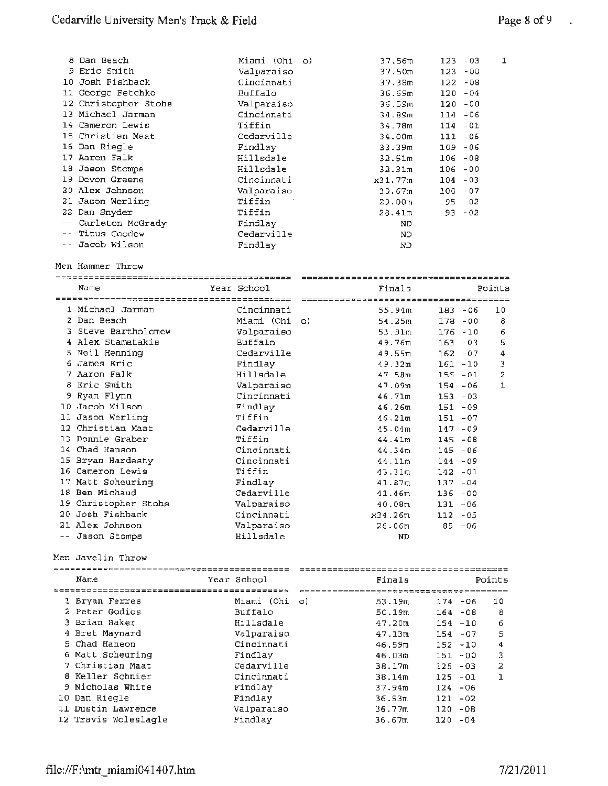| 8 Dan Beach          | Miami (Ohi o) | 37.56m             | $123 - 03$ | 1 |
|----------------------|---------------|--------------------|------------|---|
| 9 Eric Smith         | Valparaiso    | 37.50m             | $123 - 00$ |   |
| 10 Josh Fishback     | Cincinnati    | 37.38m             | $122 - 08$ |   |
| 11 George Fetchko    | Buffalo       | 36.69m             | $120 - 04$ |   |
| 12 Christopher Stohs | Valparaiso    | 36.59m             | $120 - 00$ |   |
| 13 Michael Jarman    | Cincinnati    | 34.89m             | $114 - 06$ |   |
| 14 Cameron Lewis     | Tiffin        | 34.78m             | $114 - 01$ |   |
| 15 Christian Maat    | Cedarville    | 34.00m             | $111 - 06$ |   |
| 16 Dan Riegle        | Findlay       | 33.39m             | $109 - 06$ |   |
| 17 Aaron Falk        | Hillsdale     | 32.51m             | $106 - 08$ |   |
| 18 Jason Stomps      | Hillsdale     | 32.31m             | $106 - 00$ |   |
| 19 Devon Greene      | Cincinnati    | x31.77m            | $104 - 03$ |   |
| 20 Alex Johnson      | Valparaiso    | 30.67m             | $100 - 07$ |   |
| 21 Jason Werling     | Tiffin        | 29.00 <sub>m</sub> | $95 - 02$  |   |
| 22 Dan Snyder        | Tiffin        | $28.41$ m          | $93 - 02$  |   |
| -- Carleton McGrady  | Findlay       | ND.                |            |   |
| -- Titus Goodew      | Cedarville    | ND.                |            |   |
| -- Jacob Wilson      | Findlay       | ND                 |            |   |

Men Hammer Throw

|                                               |               | ------------------------------------- |                  |
|-----------------------------------------------|---------------|---------------------------------------|------------------|
| Name                                          | Year School   | Finals                                | Points           |
| ========== <b>=====================</b> ===== |               |                                       |                  |
| 1 Michael Jarman                              | Cincinnati    | 55.94m                                | $183 - 06$<br>10 |
| 2 Dan Beach                                   | Miami (Ohi o) | 54.25m                                | $178 - 00$<br>8  |
| 3 Steve Bartholomew                           | Valparaiso    | 53.91m                                | $176 - 10$<br>6  |
| 4 Alex Stamatakis                             | Buffalo       | 49.76m                                | $163 - 03$<br>5  |
| 5 Neil Henning                                | Cedarville    | 49.55m                                | $162 - 07$<br>4  |
| 6 James Eric                                  | Findlay       | 49.32m                                | 3<br>$161 - 10$  |
| 7 Aaron Falk                                  | Hillsdale     | 47.58m                                | 2<br>$156 - 01$  |
| 8 Eric Smith                                  | Valparaiso    | 47.09m                                | 1<br>$154 - 06$  |
| 9 Ryan Flynn                                  | Cincinnati    | 46.71m                                | $153 - 03$       |
| 10 Jacob Wilson                               | Findlay       | 46.26m                                | $151 - 09$       |
| 11 Jason Werling                              | Tiffin        | 46.21m                                | $151 - 07$       |
| 12 Christian Maat                             | Cedarville    | 45.04m                                | $147 - 09$       |
| 13 Donnie Graber                              | Tiffin        | 44.41m                                | $145 - 08$       |
| 14 Chad Hanson                                | Cincinnati    | 44.34m                                | $145 - 06$       |
| 15 Bryan Hardesty                             | Cincinnati    | 44.11m                                | $144 - 09$       |
| 16 Cameron Lewis                              | Tiffin        | 43.31m                                | $142 - 01$       |
| 17 Matt Scheuring                             | Findlay       | 41.87m                                | $137 - 04$       |
| 18 Ben Michaud                                | Cedarville    | 41.46m                                | $136 - 00$       |
| 19 Christopher Stohs                          | Valparaiso    | 40.08m                                | $131 - 06$       |
| 20 Josh Fishback                              | Cincinnati    | x34.26m                               | $112 - 05$       |
| 21 Alex Johnson                               | Valparaiso    | 26.06m                                | $85 - 06$        |
| -- Jason Stomps                               | Hillsdale     | <b>ND</b>                             |                  |

Men Javelin Throw

|  | Name                 | Year School   | Finals |            | Points |  |
|--|----------------------|---------------|--------|------------|--------|--|
|  |                      |               |        |            |        |  |
|  | 1 Bryan Ferres       | Miami (Ohi o) | 53.19m | 174 - 06   | 10     |  |
|  | 2 Peter Godios       | Buffalo       | 50.19m | $164 - 08$ | 8      |  |
|  | 3 Brian Baker        | Hillsdale     | 47.20m | $154 - 10$ | 6      |  |
|  | 4 Bret Maynard       | Valparaiso    | 47.13m | $154 - 07$ | 5      |  |
|  | 5 Chad Haneon        | Cincinnati    | 46.59m | $152 - 10$ | 4      |  |
|  | 6 Matt Scheuring     | Findlay       | 46.03m | $151 - 00$ | 3      |  |
|  | 7 Christian Maat     | Cedarville    | 38.17m | $125 - 03$ | 2      |  |
|  | 8 Keller Schnier     | Cincinnati    | 38.14m | $125 - 01$ | ı      |  |
|  | 9 Nicholas White     | Findlay       | 37.94m | $124 - 06$ |        |  |
|  | 10 Dan Riegle        | Findlay       | 36.93m | $121 - 02$ |        |  |
|  | 11 Dustin Lawrence   | Valparaiso    | 36.77m | $120 - 08$ |        |  |
|  | 12 Travis Woleslagle | Findlay       | 36.67m | $120 - 04$ |        |  |